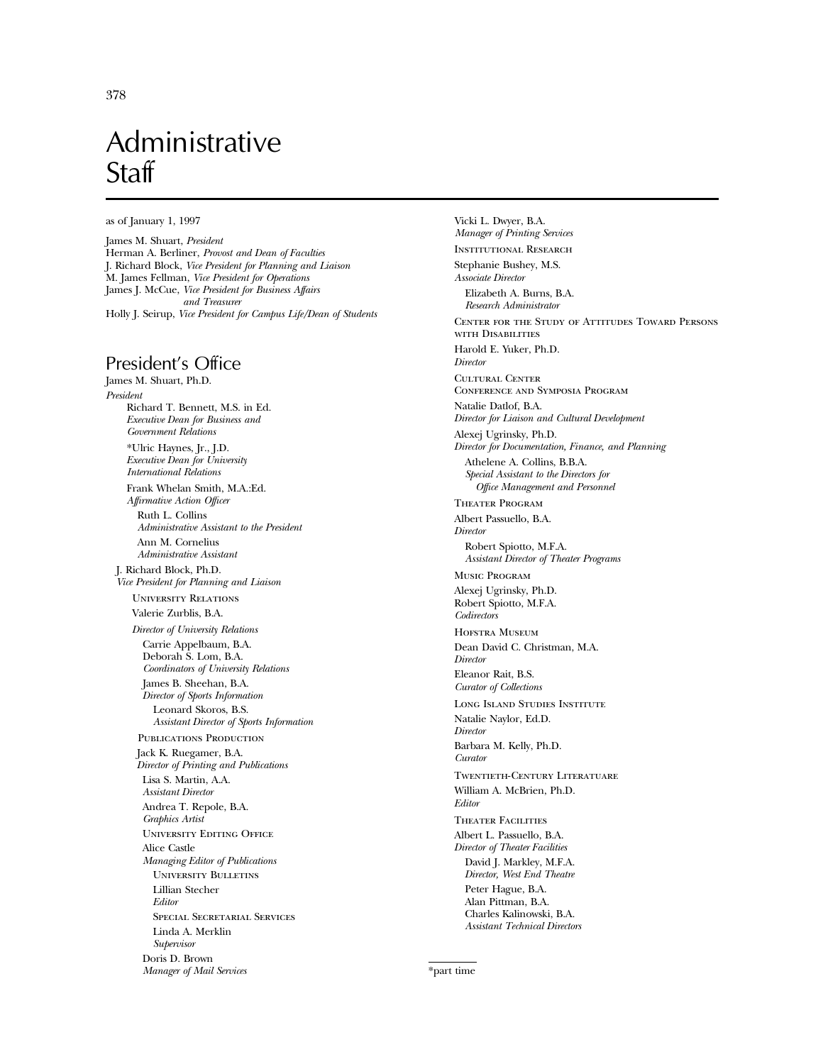# Administrative **Staff**

as of January 1, 1997

James M. Shuart, *President* Herman A. Berliner, *Provost and Dean of Faculties* J. Richard Block, *Vice President for Planning and Liaison* M. James Fellman, *Vice President for Operations* James J. McCue, *Vice President for Business Affairs and Treasurer* Holly J. Seirup, *Vice President for Campus Life/Dean of Students*

## President's Office

James M. Shuart, Ph.D. *President* Richard T. Bennett, M.S. in Ed. *Executive Dean for Business and Government Relations* \*Ulric Haynes, Jr., J.D. *Executive Dean for University International Relations* Frank Whelan Smith, M.A.:Ed. *Affirmative Action Officer* Ruth L. Collins *Administrative Assistant to the President* Ann M. Cornelius *Administrative Assistant* J. Richard Block, Ph.D. *Vice President for Planning and Liaison* University Relations Valerie Zurblis, B.A. *Director of University Relations* Carrie Appelbaum, B.A. Deborah S. Lom, B.A. *Coordinators of University Relations* James B. Sheehan, B.A. *Director of Sports Information* Leonard Skoros, B.S. *Assistant Director of Sports Information* PUBLICATIONS PRODUCTION Jack K. Ruegamer, B.A. *Director of Printing and Publications* Lisa S. Martin, A.A. *Assistant Director* Andrea T. Repole, B.A. *Graphics Artist* University Editing Office Alice Castle *Managing Editor of Publications* University Bulletins Lillian Stecher *Editor* Special Secretarial Services Linda A. Merklin *Supervisor* Doris D. Brown *Manager of Mail Services*

Vicki L. Dwyer, B.A. *Manager of Printing Services* Institutional Research Stephanie Bushey, M.S. *Associate Director* Elizabeth A. Burns, B.A. *Research Administrator* Center for the Study of Attitudes Toward Persons with Disabilities Harold E. Yuker, Ph.D. *Director* Cultural Center Conference and Symposia Program Natalie Datlof, B.A. *Director for Liaison and Cultural Development* Alexej Ugrinsky, Ph.D. *Director for Documentation, Finance, and Planning* Athelene A. Collins, B.B.A. *Special Assistant to the Directors for Office Management and Personnel* Theater Program Albert Passuello, B.A. *Director* Robert Spiotto, M.F.A. *Assistant Director of Theater Programs* Music Program Alexej Ugrinsky, Ph.D. Robert Spiotto, M.F.A. *Codirectors* Hofstra Museum Dean David C. Christman, M.A. *Director* Eleanor Rait, B.S. *Curator of Collections* Long Island Studies Institute Natalie Naylor, Ed.D. *Director* Barbara M. Kelly, Ph.D. *Curator* Twentieth-Century Literatuare William A. McBrien, Ph.D. *Editor* Theater Facilities Albert L. Passuello, B.A. *Director of Theater Facilities* David J. Markley, M.F.A. *Director, West End Theatre* Peter Hague, B.A. Alan Pittman, B.A. Charles Kalinowski, B.A. *Assistant Technical Directors*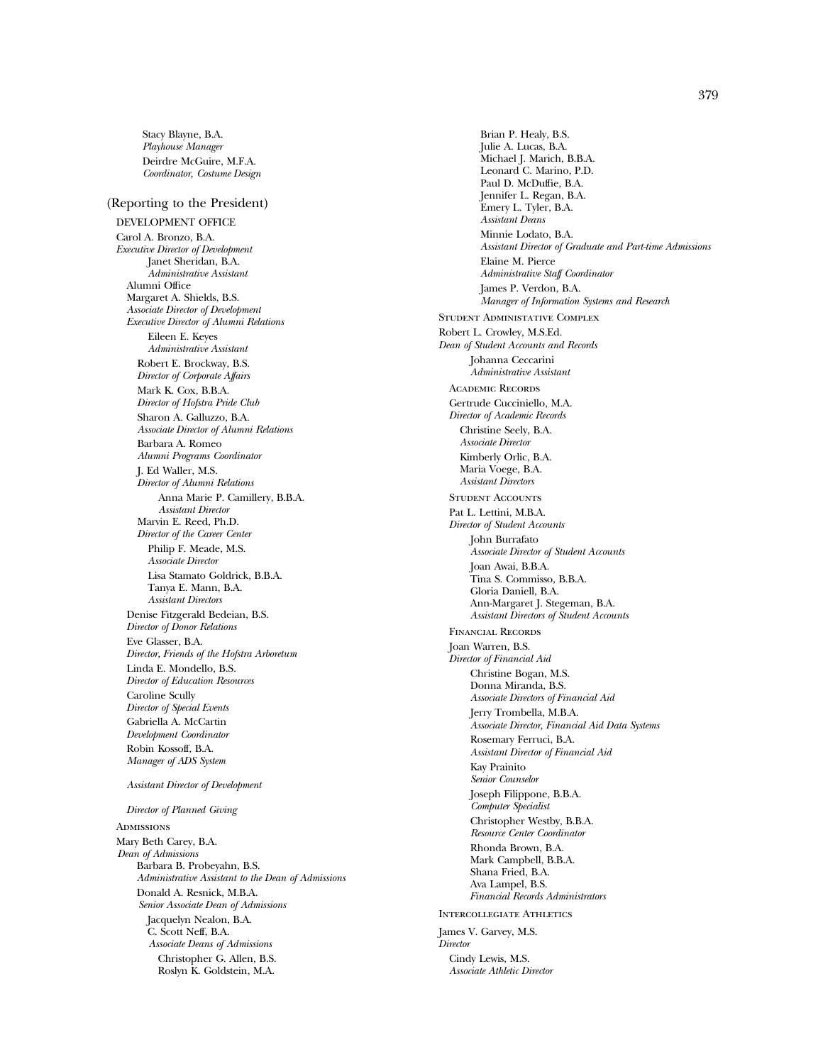Stacy Blayne, B.A. *Playhouse Manager* Deirdre McGuire, M.F.A. *Coordinator, Costume Design*

#### (Reporting to the President)

DEVELOPMENT OFFICE Carol A. Bronzo, B.A. *Executive Director of Development* Janet Sheridan, B.A. *Administrative Assistant* Alumni Office Margaret A. Shields, B.S. *Associate Director of Development Executive Director of Alumni Relations* Eileen E. Keyes *Administrative Assistant* Robert E. Brockway, B.S. *Director of Corporate Affairs* Mark K. Cox, B.B.A. *Director of Hofstra Pride Club* Sharon A. Galluzzo, B.A. *Associate Director of Alumni Relations* Barbara A. Romeo *Alumni Programs Coordinator* J. Ed Waller, M.S. *Director of Alumni Relations* Anna Marie P. Camillery, B.B.A. *Assistant Director* Marvin E. Reed, Ph.D. *Director of the Career Center* Philip F. Meade, M.S. *Associate Director* Lisa Stamato Goldrick, B.B.A. Tanya E. Mann, B.A. *Assistant Directors* Denise Fitzgerald Bedeian, B.S. *Director of Donor Relations* Eve Glasser, B.A. *Director, Friends of the Hofstra Arboretum* Linda E. Mondello, B.S. *Director of Education Resources* Caroline Scully *Director of Special Events* Gabriella A. McCartin *Development Coordinator* Robin Kossoff, B.A. *Manager of ADS System*

#### *Assistant Director of Development*

#### *Director of Planned Giving*

**ADMISSIONS** Mary Beth Carey, B.A. *Dean of Admissions* Barbara B. Probeyahn, B.S. *Administrative Assistant to the Dean of Admissions* Donald A. Resnick, M.B.A. *Senior Associate Dean of Admissions* Jacquelyn Nealon, B.A. C. Scott Neff, B.A. *Associate Deans of Admissions* Christopher G. Allen, B.S. Roslyn K. Goldstein, M.A.

Brian P. Healy, B.S. Julie A. Lucas, B.A. Michael J. Marich, B.B.A. Leonard C. Marino, P.D. Paul D. McDuffie, B.A. Jennifer L. Regan, B.A. Emery L. Tyler, B.A. *Assistant Deans* Minnie Lodato, B.A. *Assistant Director of Graduate and Part-time Admissions* Elaine M. Pierce *Administrative Staff Coordinator* James P. Verdon, B.A. *Manager of Information Systems and Research* Student Administative Complex Robert L. Crowley, M.S.Ed. *Dean of Student Accounts and Records* Johanna Ceccarini *Administrative Assistant* Academic Records Gertrude Cucciniello, M.A. *Director of Academic Records* Christine Seely, B.A. *Associate Director* Kimberly Orlic, B.A. Maria Voege, B.A. *Assistant Directors* STUDENT ACCOUNTS Pat L. Lettini, M.B.A. *Director of Student Accounts* John Burrafato *Associate Director of Student Accounts* Joan Awai, B.B.A. Tina S. Commisso, B.B.A. Gloria Daniell, B.A. Ann-Margaret J. Stegeman, B.A. *Assistant Directors of Student Accounts* Financial Records Joan Warren, B.S. *Director of Financial Aid* Christine Bogan, M.S. Donna Miranda, B.S. *Associate Directors of Financial Aid* Jerry Trombella, M.B.A. *Associate Director, Financial Aid Data Systems* Rosemary Ferruci, B.A. *Assistant Director of Financial Aid* Kay Prainito *Senior Counselor* Joseph Filippone, B.B.A. *Computer Specialist* Christopher Westby, B.B.A. *Resource Center Coordinator* Rhonda Brown, B.A. Mark Campbell, B.B.A. Shana Fried, B.A. Ava Lampel, B.S. *Financial Records Administrators* Intercollegiate Athletics James V. Garvey, M.S. *Director* Cindy Lewis, M.S.

*Associate Athletic Director*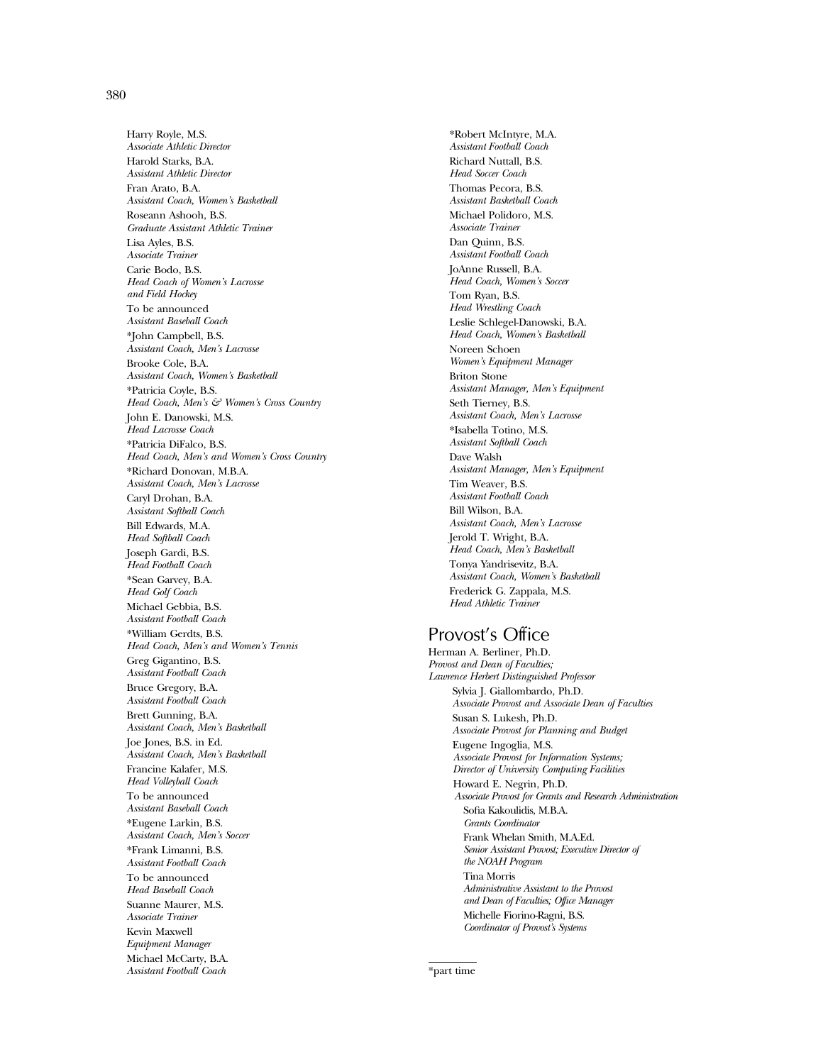380

Harry Royle, M.S. *Associate Athletic Director* Harold Starks, B.A. *Assistant Athletic Director* Fran Arato, B.A. *Assistant Coach, Women's Basketball* Roseann Ashooh, B.S. *Graduate Assistant Athletic Trainer* Lisa Ayles, B.S. *Associate Trainer* Carie Bodo, B.S. *Head Coach of Women's Lacrosse and Field Hockey* To be announced *Assistant Baseball Coach* \*John Campbell, B.S. *Assistant Coach, Men's Lacrosse* Brooke Cole, B.A. *Assistant Coach, Women's Basketball* \*Patricia Coyle, B.S. *Head Coach, Men's & Women's Cross Country* John E. Danowski, M.S. *Head Lacrosse Coach* \*Patricia DiFalco, B.S. *Head Coach, Men's and Women's Cross Country* \*Richard Donovan, M.B.A. *Assistant Coach, Men's Lacrosse* Caryl Drohan, B.A. *Assistant Softball Coach* Bill Edwards, M.A. *Head Softball Coach* Joseph Gardi, B.S. *Head Football Coach* \*Sean Garvey, B.A. *Head Golf Coach* Michael Gebbia, B.S. *Assistant Football Coach* \*William Gerdts, B.S. *Head Coach, Men's and Women's Tennis* Greg Gigantino, B.S. *Assistant Football Coach* Bruce Gregory, B.A. *Assistant Football Coach* Brett Gunning, B.A. *Assistant Coach, Men's Basketball* Joe Jones, B.S. in Ed. *Assistant Coach, Men's Basketball* Francine Kalafer, M.S. *Head Volleyball Coach* To be announced *Assistant Baseball Coach* \*Eugene Larkin, B.S. *Assistant Coach, Men's Soccer* \*Frank Limanni, B.S. *Assistant Football Coach* To be announced *Head Baseball Coach* Suanne Maurer, M.S. *Associate Trainer* Kevin Maxwell *Equipment Manager* Michael McCarty, B.A. *Assistant Football Coach*

\*Robert McIntyre, M.A. *Assistant Football Coach* Richard Nuttall, B.S. *Head Soccer Coach* Thomas Pecora, B.S. *Assistant Basketball Coach* Michael Polidoro, M.S. *Associate Trainer* Dan Quinn, B.S. *Assistant Football Coach* JoAnne Russell, B.A. *Head Coach, Women's Soccer* Tom Ryan, B.S. *Head Wrestling Coach* Leslie Schlegel-Danowski, B.A. *Head Coach, Women's Basketball* Noreen Schoen *Women's Equipment Manager* Briton Stone *Assistant Manager, Men's Equipment* Seth Tierney, B.S. *Assistant Coach, Men's Lacrosse* \*Isabella Totino, M.S. *Assistant Softball Coach* Dave Walsh *Assistant Manager, Men's Equipment* Tim Weaver, B.S. *Assistant Football Coach* Bill Wilson, B.A. *Assistant Coach, Men's Lacrosse* Jerold T. Wright, B.A. *Head Coach, Men's Basketball* Tonya Yandrisevitz, B.A. *Assistant Coach, Women's Basketball* Frederick G. Zappala, M.S. *Head Athletic Trainer*

## Provost's Office

Herman A. Berliner, Ph.D. *Provost and Dean of Faculties; Lawrence Herbert Distinguished Professor* Sylvia J. Giallombardo, Ph.D. *Associate Provost and Associate Dean of Faculties* Susan S. Lukesh, Ph.D. *Associate Provost for Planning and Budget* Eugene Ingoglia, M.S. *Associate Provost for Information Systems; Director of University Computing Facilities* Howard E. Negrin, Ph.D. *Associate Provost for Grants and Research Administration* Sofia Kakoulidis, M.B.A. *Grants Coordinato* Frank Whelan Smith, M.A.Ed. *Senior Assistant Provost; Executive Director of the NOAH Program* Tina Morris *Administrative Assistant to the Provost and Dean of Faculties; Office Manager* Michelle Fiorino-Ragni, B.S. *Coordinator of Provost's Systems*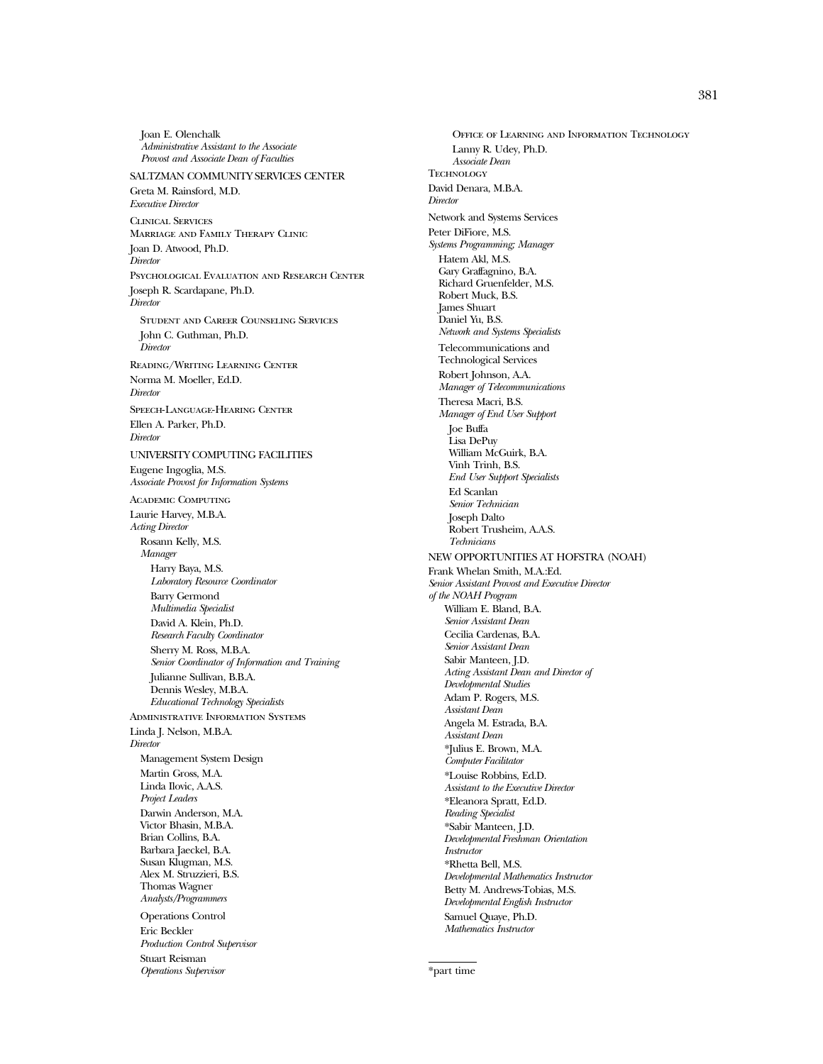Joan E. Olenchalk *Administrative Assistant to the Associate Provost and Associate Dean of Faculties*

#### SALTZMAN COMMUNITY SERVICES CENTER Greta M. Rainsford, M.D. *Executive Director*

Clinical Services Marriage and Family Therapy Clinic Joan D. Atwood, Ph.D. *Director* Psychological Evaluation and Research Center Joseph R. Scardapane, Ph.D. *Director* Student and Career Counseling Services John C. Guthman, Ph.D. *Director*

Reading/Writing Learning Center Norma M. Moeller, Ed.D. *Director* Speech-Language-Hearing Center

Ellen A. Parker, Ph.D. *Director*

### UNIVERSITY COMPUTING FACILITIES

Eugene Ingoglia, M.S. *Associate Provost for Information Systems*

Academic Computing Laurie Harvey, M.B.A. *Acting Director*

Rosann Kelly, M.S. *Manager*

Harry Baya, M.S. *Laboratory Resource Coordinator* Barry Germond *Multimedia Specialist* David A. Klein, Ph.D. *Research Faculty Coordinator*

Sherry M. Ross, M.B.A. *Senior Coordinator of Information and Training* Julianne Sullivan, B.B.A. Dennis Wesley, M.B.A.

*Educational Technology Specialists* Administrative Information Systems Linda J. Nelson, M.B.A.

*Director*

Management System Design Martin Gross, M.A. Linda Ilovic, A.A.S. *Project Leaders* Darwin Anderson, M.A. Victor Bhasin, M.B.A. Brian Collins, B.A. Barbara Jaeckel, B.A. Susan Klugman, M.S. Alex M. Struzzieri, B.S. Thomas Wagner *Analysts/Programmers*

Operations Control Eric Beckler *Production Control Supervisor* Stuart Reisman *Operations Supervisor*

Office of Learning and Information Technology Lanny R. Udey, Ph.D. *Associate Dean* **TECHNOLOGY** David Denara, M.B.A. *Director* Network and Systems Services Peter DiFiore, M.S. *Systems Programming; Manager* Hatem Akl, M.S. Gary Graffagnino, B.A. Richard Gruenfelder, M.S. Robert Muck, B.S. James Shuart Daniel Yu, B.S. *Network and Systems Specialists* Telecommunications and Technological Services Robert Johnson, A.A. *Manager of Telecommunications* Theresa Macri, B.S. *Manager of End User Support* Joe Buffa Lisa DePuy William McGuirk, B.A. Vinh Trinh, B.S. *End User Support Specialists* Ed Scanlan *Senior Technician* Joseph Dalto Robert Trusheim, A.A.S. *Technicians* NEW OPPORTUNITIES AT HOFSTRA (NOAH) Frank Whelan Smith, M.A.:Ed. *Senior Assistant Provost and Executive Director of the NOAH Program* William E. Bland, B.A. *Senior Assistant Dean* Cecilia Cardenas, B.A. *Senior Assistant Dean* Sabir Manteen, J.D. *Acting Assistant Dean and Director of Developmental Studies* Adam P. Rogers, M.S. *Assistant Dean* Angela M. Estrada, B.A. *Assistant Dean* \*Julius E. Brown, M.A. *Computer Facilitator* \*Louise Robbins, Ed.D. *Assistant to the Executive Director* \*Eleanora Spratt, Ed.D. *Reading Specialist* \*Sabir Manteen, J.D. *Developmental Freshman Orientation Instructor* \*Rhetta Bell, M.S. *Developmental Mathematics Instructor* Betty M. Andrews-Tobias, M.S. *Developmental English Instructor*

Samuel Quaye, Ph.D. *Mathematics Instructor*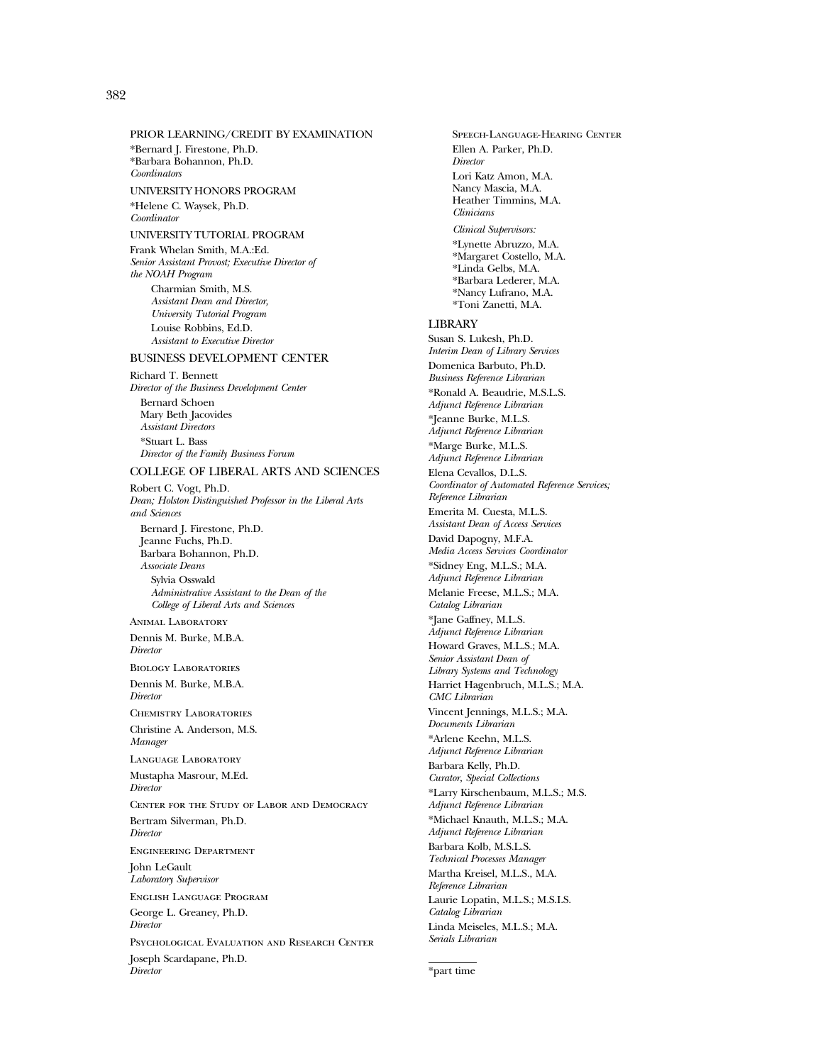#### PRIOR LEARNING/CREDIT BY EXAMINATION \*Bernard J. Firestone, Ph.D. \*Barbara Bohannon, Ph.D.

*Coordinators* UNIVERSITY HONORS PROGRAM \*Helene C. Waysek, Ph.D. *Coordinator*

#### UNIVERSITY TUTORIAL PROGRAM

Frank Whelan Smith, M.A.:Ed. *Senior Assistant Provost; Executive Director of the NOAH Program* Charmian Smith, M.S. *Assistant Dean and Director, University Tutorial Program* Louise Robbins, Ed.D. *Assistant to Executive Director*

#### BUSINESS DEVELOPMENT CENTER

Richard T. Bennett *Director of the Business Development Center* Bernard Schoen Mary Beth Jacovides *Assistant Directors* \*Stuart L. Bass *Director of the Family Business Forum*

#### COLLEGE OF LIBERAL ARTS AND SCIENCES

Robert C. Vogt, Ph.D. *Dean; Holston Distinguished Professor in the Liberal Arts and Sciences* Bernard J. Firestone, Ph.D.

Jeanne Fuchs, Ph.D. Barbara Bohannon, Ph.D. *Associate Deans* Sylvia Osswald *Administrative Assistant to the Dean of the College of Liberal Arts and Sciences*

#### Animal Laboratory Dennis M. Burke, M.B.A.

*Director*

Biology Laboratories Dennis M. Burke, M.B.A. *Director*

Chemistry Laboratories Christine A. Anderson, M.S.

*Manager* Language Laboratory

Mustapha Masrour, M.Ed. *Director*

Center for the Study of Labor and Democracy Bertram Silverman, Ph.D. *Director*

Engineering Department

John LeGault *Laboratory Supervisor*

English Language Program George L. Greaney, Ph.D. *Director*

Psychological Evaluation and Research Center Joseph Scardapane, Ph.D. *Director*

Speech-Language-Hearing Center Ellen A. Parker, Ph.D. *Director* Lori Katz Amon, M.A. Nancy Mascia, M.A. Heather Timmins, M.A. *Clinicians Clinical Supervisors:* \*Lynette Abruzzo, M.A. \*Margaret Costello, M.A. \*Linda Gelbs, M.A. \*Barbara Lederer, M.A. \*Nancy Lufrano, M.A. \*Toni Zanetti, M.A. LIBRARY Susan S. Lukesh, Ph.D. *Interim Dean of Library Services* Domenica Barbuto, Ph.D. *Business Reference Librarian* \*Ronald A. Beaudrie, M.S.L.S. *Adjunct Reference Librarian* \*Jeanne Burke, M.L.S. *Adjunct Reference Librarian* \*Marge Burke, M.L.S. *Adjunct Reference Librarian* Elena Cevallos, D.L.S. *Coordinator of Automated Reference Services; Reference Librarian* Emerita M. Cuesta, M.L.S. *Assistant Dean of Access Services* David Dapogny, M.F.A. *Media Access Services Coordinator* \*Sidney Eng, M.L.S.; M.A. *Adjunct Reference Librarian* Melanie Freese, M.L.S.; M.A. *Catalog Librarian* \*Jane Gaffney, M.L.S. *Adjunct Reference Librarian* Howard Graves, M.L.S.; M.A. *Senior Assistant Dean of Library Systems and Technology* Harriet Hagenbruch, M.L.S.; M.A. *CMC Librarian* Vincent Jennings, M.L.S.; M.A. *Documents Librarian* \*Arlene Keehn, M.L.S. *Adjunct Reference Librarian* Barbara Kelly, Ph.D. *Curator, Special Collections* \*Larry Kirschenbaum, M.L.S.; M.S. *Adjunct Reference Librarian* \*Michael Knauth, M.L.S.; M.A. *Adjunct Reference Librarian* Barbara Kolb, M.S.L.S. *Technical Processes Manager* Martha Kreisel, M.L.S., M.A. *Reference Librarian* Laurie Lopatin, M.L.S.; M.S.I.S. *Catalog Librarian* Linda Meiseles, M.L.S.; M.A. *Serials Librarian*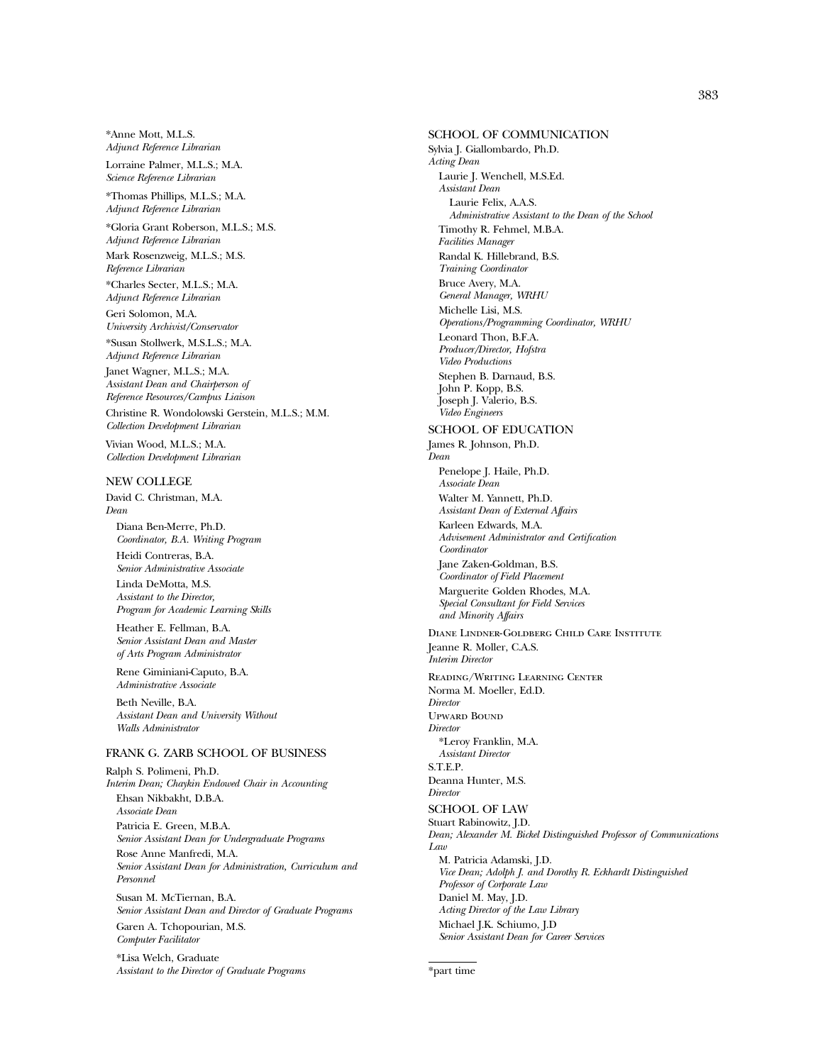\*Anne Mott, M.L.S. *Adjunct Reference Librarian*

Lorraine Palmer, M.L.S.; M.A. *Science Reference Librarian*

\*Thomas Phillips, M.L.S.; M.A. *Adjunct Reference Librarian*

\*Gloria Grant Roberson, M.L.S.; M.S. *Adjunct Reference Librarian*

Mark Rosenzweig, M.L.S.; M.S. *Reference Librarian*

\*Charles Secter, M.L.S.; M.A. *Adjunct Reference Librarian*

Geri Solomon, M.A. *University Archivist/Conservator*

\*Susan Stollwerk, M.S.L.S.; M.A. *Adjunct Reference Librarian*

Janet Wagner, M.L.S.; M.A. *Assistant Dean and Chairperson of Reference Resources/Campus Liaison*

Christine R. Wondolowski Gerstein, M.L.S.; M.M. *Collection Development Librarian*

Vivian Wood, M.L.S.; M.A. *Collection Development Librarian*

#### NEW COLLEGE

David C. Christman, M.A. *Dean*

Diana Ben-Merre, Ph.D. *Coordinator, B.A. Writing Program*

Heidi Contreras, B.A. *Senior Administrative Associate* Linda DeMotta, M.S. *Assistant to the Director,*

*Program for Academic Learning Skills* Heather E. Fellman, B.A.

*Senior Assistant Dean and Master of Arts Program Administrator*

Rene Giminiani-Caputo, B.A. *Administrative Associate*

Beth Neville, B.A. *Assistant Dean and University Without Walls Administrator*

#### FRANK G. ZARB SCHOOL OF BUSINESS

Ralph S. Polimeni, Ph.D. *Interim Dean; Chaykin Endowed Chair in Accounting* Ehsan Nikbakht, D.B.A. *Associate Dean* Patricia E. Green, M.B.A. *Senior Assistant Dean for Undergraduate Programs* Rose Anne Manfredi, M.A. *Senior Assistant Dean for Administration, Curriculum and Personnel* Susan M. McTiernan, B.A.

*Senior Assistant Dean and Director of Graduate Programs*

Garen A. Tchopourian, M.S. *Computer Facilitator*

\*Lisa Welch, Graduate *Assistant to the Director of Graduate Programs*

SCHOOL OF COMMUNICATION Sylvia J. Giallombardo, Ph.D. *Acting Dean* Laurie J. Wenchell, M.S.Ed. *Assistant Dean* Laurie Felix, A.A.S. *Administrative Assistant to the Dean of the School* Timothy R. Fehmel, M.B.A. *Facilities Manager* Randal K. Hillebrand, B.S. *Training Coordinator* Bruce Avery, M.A. *General Manager, WRHU* Michelle Lisi, M.S. *Operations/Programming Coordinator, WRHU* Leonard Thon, B.F.A. *Producer/Director, Hofstra Video Productions* Stephen B. Darnaud, B.S. John P. Kopp, B.S. Joseph J. Valerio, B.S. *Video Engineers* SCHOOL OF EDUCATION James R. Johnson, Ph.D. *Dean* Penelope J. Haile, Ph.D. *Associate Dean* Walter M. Yannett, Ph.D. *Assistant Dean of External Affairs* Karleen Edwards, M.A. *Advisement Administrator and Certification Coordinator* Jane Zaken-Goldman, B.S. *Coordinator of Field Placement* Marguerite Golden Rhodes, M.A. *Special Consultant for Field Services and Minority Affairs* Diane Lindner-Goldberg Child Care Institute Jeanne R. Moller, C.A.S. *Interim Director* Reading/Writing Learning Center Norma M. Moeller, Ed.D. *Director* Upward Bound *Director* \*Leroy Franklin, M.A. *Assistant Director* S.T.E.P. Deanna Hunter, M.S. *Director* SCHOOL OF LAW Stuart Rabinowitz, J.D. *Dean; Alexander M. Bickel Distinguished Professor of Communications Law* M. Patricia Adamski, J.D. *Vice Dean; Adolph J. and Dorothy R. Eckhardt Distinguished Professor of Corporate Law* Daniel M. May, J.D. *Acting Director of the Law Library* Michael J.K. Schiumo, J.D *Senior Assistant Dean for Career Services*

<sup>\*</sup>part time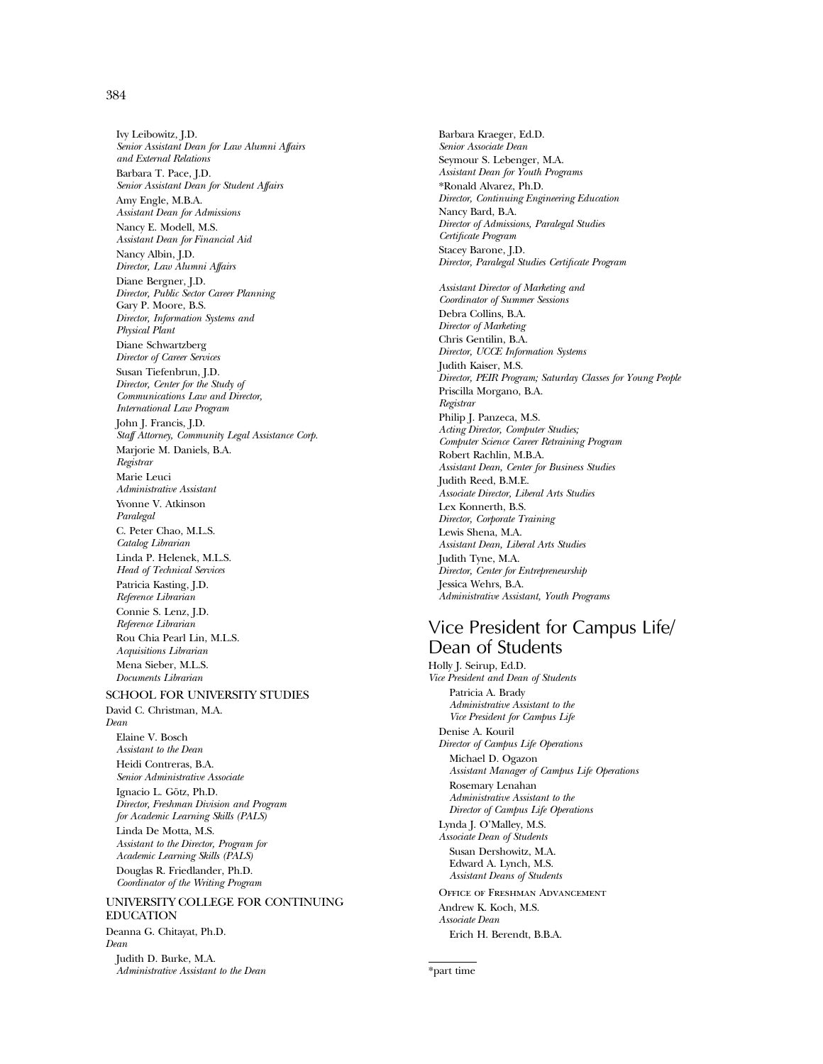#### 384

Ivy Leibowitz, J.D. *Senior Assistant Dean for Law Alumni Affairs and External Relations* Barbara T. Pace, J.D. *Senior Assistant Dean for Student Affairs* Amy Engle, M.B.A. *Assistant Dean for Admissions* Nancy E. Modell, M.S. *Assistant Dean for Financial Aid* Nancy Albin, J.D. *Director, Law Alumni Affairs* Diane Bergner, J.D. *Director, Public Sector Career Planning* Gary P. Moore, B.S. *Director, Information Systems and Physical Plant* Diane Schwartzberg *Director of Career Services* Susan Tiefenbrun, J.D. *Director, Center for the Study of Communications Law and Director, International Law Program* John J. Francis, J.D. *Staff Attorney, Community Legal Assistance Corp.* Marjorie M. Daniels, B.A. *Registrar* Marie Leuci *Administrative Assistant* Yvonne V. Atkinson *Paralegal* C. Peter Chao, M.L.S. *Catalog Librarian* Linda P. Helenek, M.L.S. *Head of Technical Services* Patricia Kasting, J.D. *Reference Librarian* Connie S. Lenz, J.D. *Reference Librarian* Rou Chia Pearl Lin, M.L.S. *Acquisitions Librarian* Mena Sieber, M.L.S. *Documents Librarian*

#### SCHOOL FOR UNIVERSITY STUDIES

David C. Christman, M.A. *Dean* Elaine V. Bosch *Assistant to the Dean* Heidi Contreras, B.A. *Senior Administrative Associate* Ignacio L. Götz, Ph.D. *Director, Freshman Division and Program for Academic Learning Skills (PALS)* Linda De Motta, M.S. *Assistant to the Director, Program for Academic Learning Skills (PALS)* Douglas R. Friedlander, Ph.D. *Coordinator of the Writing Program*

#### UNIVERSITY COLLEGE FOR CONTINUING EDUCATION

Deanna G. Chitayat, Ph.D. *Dean*

Judith D. Burke, M.A. *Administrative Assistant to the Dean*

Barbara Kraeger, Ed.D. *Senior Associate Dean* Seymour S. Lebenger, M.A. *Assistant Dean for Youth Programs* \*Ronald Alvarez, Ph.D. *Director, Continuing Engineering Education* Nancy Bard, B.A. *Director of Admissions, Paralegal Studies Certificate Program* Stacey Barone, J.D. *Director, Paralegal Studies Certificate Program Assistant Director of Marketing and Coordinator of Summer Sessions* Debra Collins, B.A. *Director of Marketing* Chris Gentilin, B.A. *Director, UCCE Information Systems* Judith Kaiser, M.S. *Director, PEIR Program; Saturday Classes for Young People* Priscilla Morgano, B.A. *Registrar* Philip J. Panzeca, M.S. *Acting Director, Computer Studies; Computer Science Career Retraining Program* Robert Rachlin, M.B.A. *Assistant Dean, Center for Business Studies* Judith Reed, B.M.E. *Associate Director, Liberal Arts Studies* Lex Konnerth, B.S. *Director, Corporate Training* Lewis Shena, M.A. *Assistant Dean, Liberal Arts Studies* Judith Tyne, M.A. *Director, Center for Entrepreneurship* Jessica Wehrs, B.A. *Administrative Assistant, Youth Programs*

## Vice President for Campus Life/ Dean of Students

Holly J. Seirup, Ed.D. *Vice President and Dean of Students* Patricia A. Brady *Administrative Assistant to the Vice President for Campus Life* Denise A. Kouril *Director of Campus Life Operations* Michael D. Ogazon *Assistant Manager of Campus Life Operations* Rosemary Lenahan *Administrative Assistant to the Director of Campus Life Operations* Lynda J. O'Malley, M.S. *Associate Dean of Students* Susan Dershowitz, M.A. Edward A. Lynch, M.S. *Assistant Deans of Students* Office of Freshman Advancement Andrew K. Koch, M.S. *Associate Dean* Erich H. Berendt, B.B.A.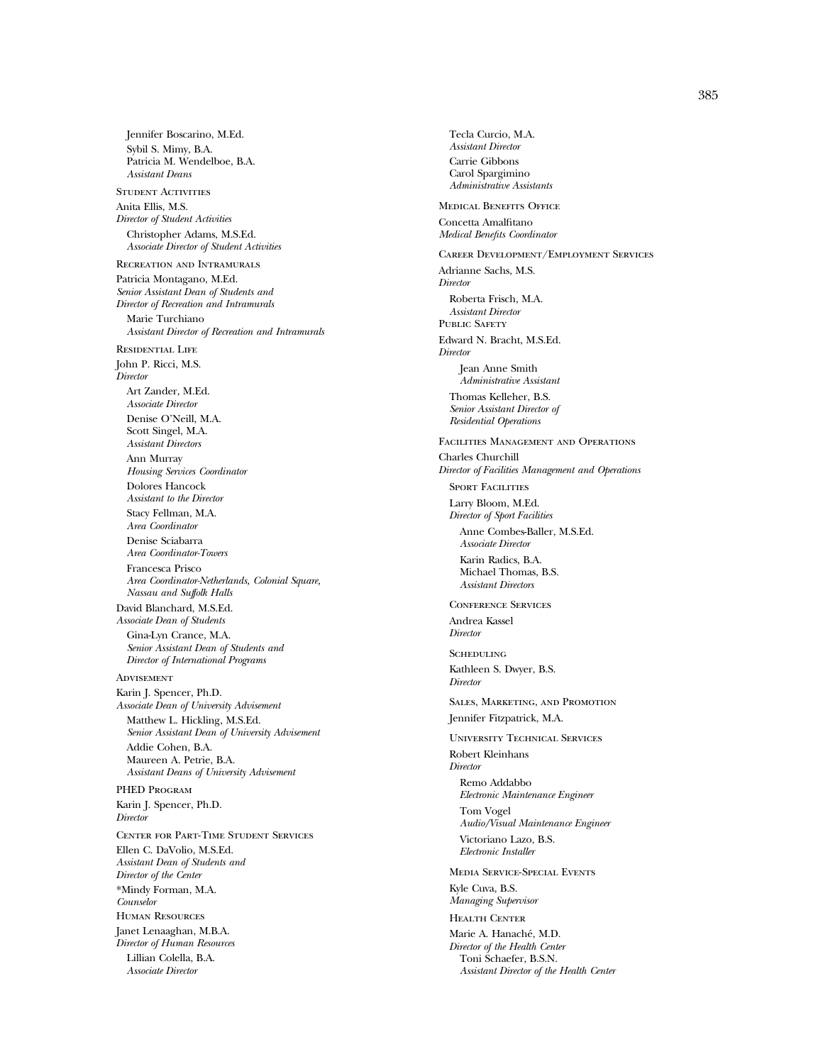Jennifer Boscarino, M.Ed. Sybil S. Mimy, B.A. Patricia M. Wendelboe, B.A. *Assistant Deans* STUDENT ACTIVITIES Anita Ellis, M.S. *Director of Student Activities* Christopher Adams, M.S.Ed. *Associate Director of Student Activities* Recreation and Intramurals Patricia Montagano, M.Ed. *Senior Assistant Dean of Students and Director of Recreation and Intramurals* Marie Turchiano *Assistant Director of Recreation and Intramurals* Residential Life John P. Ricci, M.S. *Director* Art Zander, M.Ed. *Associate Director* Denise O'Neill, M.A. Scott Singel, M.A. *Assistant Directors* Ann Murray *Housing Services Coordinator* Dolores Hancock *Assistant to the Director* Stacy Fellman, M.A. *Area Coordinator* Denise Sciabarra *Area Coordinator-Towers* Francesca Prisco *Area Coordinator-Netherlands, Colonial Square, Nassau and Suffolk Halls* David Blanchard, M.S.Ed. *Associate Dean of Students* Gina-Lyn Crance, M.A. *Senior Assistant Dean of Students and Director of International Programs* **ADVISEMENT** Karin J. Spencer, Ph.D. *Associate Dean of University Advisement* Matthew L. Hickling, M.S.Ed. *Senior Assistant Dean of University Advisement* Addie Cohen, B.A. Maureen A. Petrie, B.A. *Assistant Deans of University Advisement* PHED Program Karin J. Spencer, Ph.D. *Director* Center for Part-Time Student Services Ellen C. DaVolio, M.S.Ed. *Assistant Dean of Students and Director of the Center* \*Mindy Forman, M.A. *Counselor* Human Resources Janet Lenaaghan, M.B.A. *Director of Human Resources* Lillian Colella, B.A.

*Associate Director*

Tecla Curcio, M.A. *Assistant Director* Carrie Gibbons Carol Spargimino *Administrative Assistants* Medical Benefits Office Concetta Amalfitano *Medical Benefits Coordinator* Career Development/Employment Services Adrianne Sachs, M.S. *Director* Roberta Frisch, M.A. *Assistant Director* PUBLIC SAFETY Edward N. Bracht, M.S.Ed. *Director* Jean Anne Smith *Administrative Assistant* Thomas Kelleher, B.S. *Senior Assistant Director of Residential Operations* Facilities Management and Operations Charles Churchill *Director of Facilities Management and Operations* SPORT FACILITIES Larry Bloom, M.Ed. *Director of Sport Facilities* Anne Combes-Baller, M.S.Ed. *Associate Director* Karin Radics, B.A. Michael Thomas, B.S. *Assistant Directors* Conference Services Andrea Kassel *Director* **SCHEDULING** Kathleen S. Dwyer, B.S. *Director* Sales, Marketing, and Promotion Jennifer Fitzpatrick, M.A. University Technical Services Robert Kleinhans *Director* Remo Addabbo *Electronic Maintenance Engineer* Tom Vogel *Audio/Visual Maintenance Engineer* Victoriano Lazo, B.S. *Electronic Installer* Media Service-Special Events Kyle Cuva, B.S. *Managing Supervisor* Health Center Marie A. Hanaché, M.D. *Director of the Health Center* Toni Schaefer, B.S.N. *Assistant Director of the Health Center*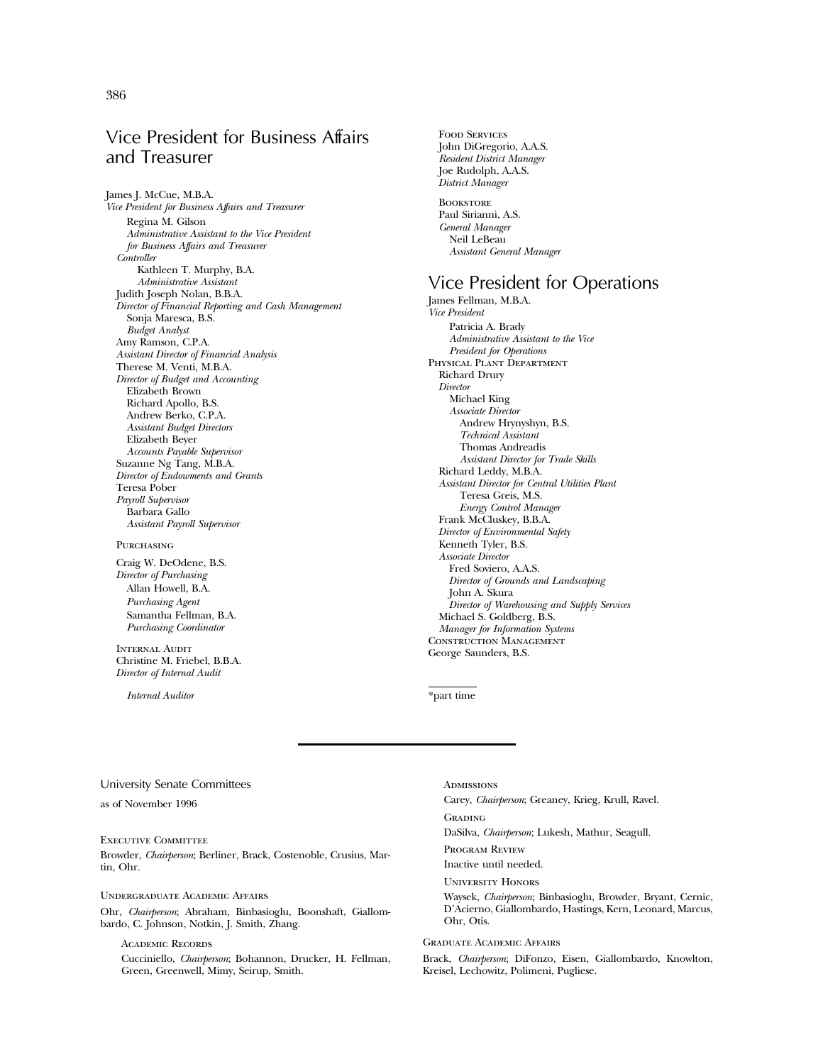## Vice President for Business Affairs and Treasurer

James J. McCue, M.B.A. *Vice President for Business Affairs and Treasurer* Regina M. Gilson *Administrative Assistant to the Vice President for Business Affairs and Treasurer Controller* Kathleen T. Murphy, B.A. *Administrative Assistant* Judith Joseph Nolan, B.B.A. *Director of Financial Reporting and Cash Management* Sonja Maresca, B.S. *Budget Analyst* Amy Ramson, C.P.A. *Assistant Director of Financial Analysis* Therese M. Venti, M.B.A. *Director of Budget and Accounting* Elizabeth Brown Richard Apollo, B.S. Andrew Berko, C.P.A. *Assistant Budget Directors* Elizabeth Beyer *Accounts Payable Supervisor* Suzanne Ng Tang, M.B.A. *Director of Endowments and Grants* Teresa Pober *Payroll Supervisor* Barbara Gallo *Assistant Payroll Supervisor*

#### PURCHASING

Craig W. DeOdene, B.S. *Director of Purchasing* Allan Howell, B.A. *Purchasing Agent* Samantha Fellman, B.A. *Purchasing Coordinator*

INTERNAL AUDIT Christine M. Friebel, B.B.A. *Director of Internal Audit*

*Internal Auditor*

John DiGregorio, A.A.S. *Resident District Manager* Joe Rudolph, A.A.S. *District Manager* **BOOKSTORE** Paul Sirianni, A.S. *General Manager* Neil LeBeau *Assistant General Manager*

Food Services

## Vice President for Operations

James Fellman, M.B.A. *Vice President* Patricia A. Brady *Administrative Assistant to the Vice President for Operations* PHYSICAL PLANT DEPARTMENT Richard Drury *Director* Michael King *Associate Director* Andrew Hrynyshyn, B.S. *Technical Assistant* Thomas Andreadis *Assistant Director for Trade Skills* Richard Leddy, M.B.A. *Assistant Director for Central Utilities Plant* Teresa Greis, M.S. *Energy Control Manager* Frank McCluskey, B.B.A. *Director of Environmental Safety* Kenneth Tyler, B.S. *Associate Director* Fred Soviero, A.A.S. *Director of Grounds and Landscaping* John A. Skura *Director of Warehousing and Supply Services* Michael S. Goldberg, B.S. *Manager for Information Systems* Construction Management George Saunders, B.S.

\*part time

#### University Senate Committees

as of November 1996

Executive Committee Browder, *Chairperson*; Berliner, Brack, Costenoble, Crusius, Martin, Ohr.

Undergraduate Academic Affairs

Ohr, *Chairperson*; Abraham, Binbasioglu, Boonshaft, Giallombardo, C. Johnson, Notkin, J. Smith, Zhang.

Academic Records Cucciniello, *Chairperson*; Bohannon, Drucker, H. Fellman, Green, Greenwell, Mimy, Seirup, Smith.

**ADMISSIONS** Carey, *Chairperson*; Greaney, Krieg, Krull, Ravel. Grading DaSilva, *Chairperson*; Lukesh, Mathur, Seagull. Program Review Inactive until needed. University Honors Waysek, *Chairperson*; Binbasioglu, Browder, Bryant, Cernic, D'Acierno, Giallombardo, Hastings, Kern, Leonard, Marcus, Ohr, Otis.

#### Graduate Academic Affairs

Brack, *Chairperson*; DiFonzo, Eisen, Giallombardo, Knowlton, Kreisel, Lechowitz, Polimeni, Pugliese.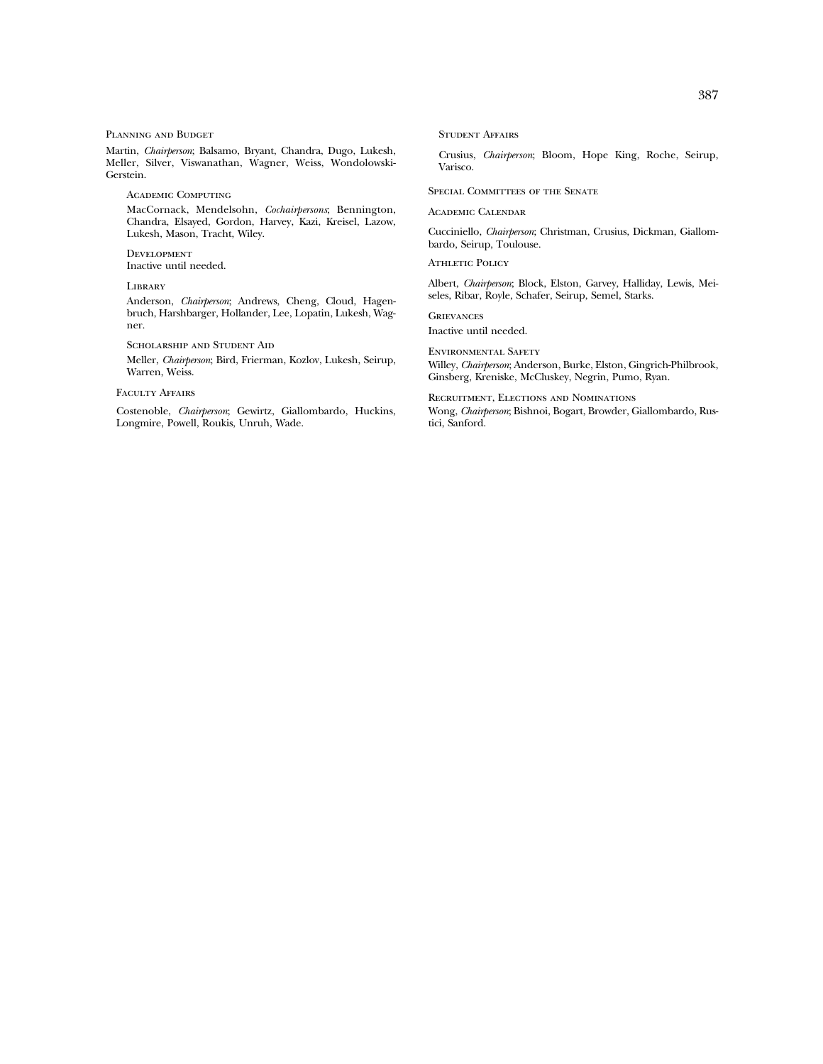#### Planning and Budget

Martin, *Chairperson*; Balsamo, Bryant, Chandra, Dugo, Lukesh, Meller, Silver, Viswanathan, Wagner, Weiss, Wondolowski-Gerstein.

Academic Computing

MacCornack, Mendelsohn, *Cochairpersons*; Bennington, Chandra, Elsayed, Gordon, Harvey, Kazi, Kreisel, Lazow, Lukesh, Mason, Tracht, Wiley.

**DEVELOPMENT** Inactive until needed.

**LIBRARY** 

Anderson, *Chairperson*; Andrews, Cheng, Cloud, Hagenbruch, Harshbarger, Hollander, Lee, Lopatin, Lukesh, Wagner.

Scholarship and Student Aid

Meller, *Chairperson*; Bird, Frierman, Kozlov, Lukesh, Seirup, Warren, Weiss.

#### Faculty Affairs

Costenoble, *Chairperson*; Gewirtz, Giallombardo, Huckins, Longmire, Powell, Roukis, Unruh, Wade.

Student Affairs

Crusius, *Chairperson*; Bloom, Hope King, Roche, Seirup, Varisco.

Special Committees of the Senate

Academic Calendar

Cucciniello, *Chairperson*; Christman, Crusius, Dickman, Giallombardo, Seirup, Toulouse.

ATHLETIC POLICY

Albert, *Chairperson*; Block, Elston, Garvey, Halliday, Lewis, Meiseles, Ribar, Royle, Schafer, Seirup, Semel, Starks.

**GRIEVANCES** 

Inactive until needed.

Environmental Safety Willey, *Chairperson*; Anderson, Burke, Elston, Gingrich-Philbrook, Ginsberg, Kreniske, McCluskey, Negrin, Pumo, Ryan.

Recruitment, Elections and Nominations Wong, *Chairperson*; Bishnoi, Bogart, Browder, Giallombardo, Rustici, Sanford.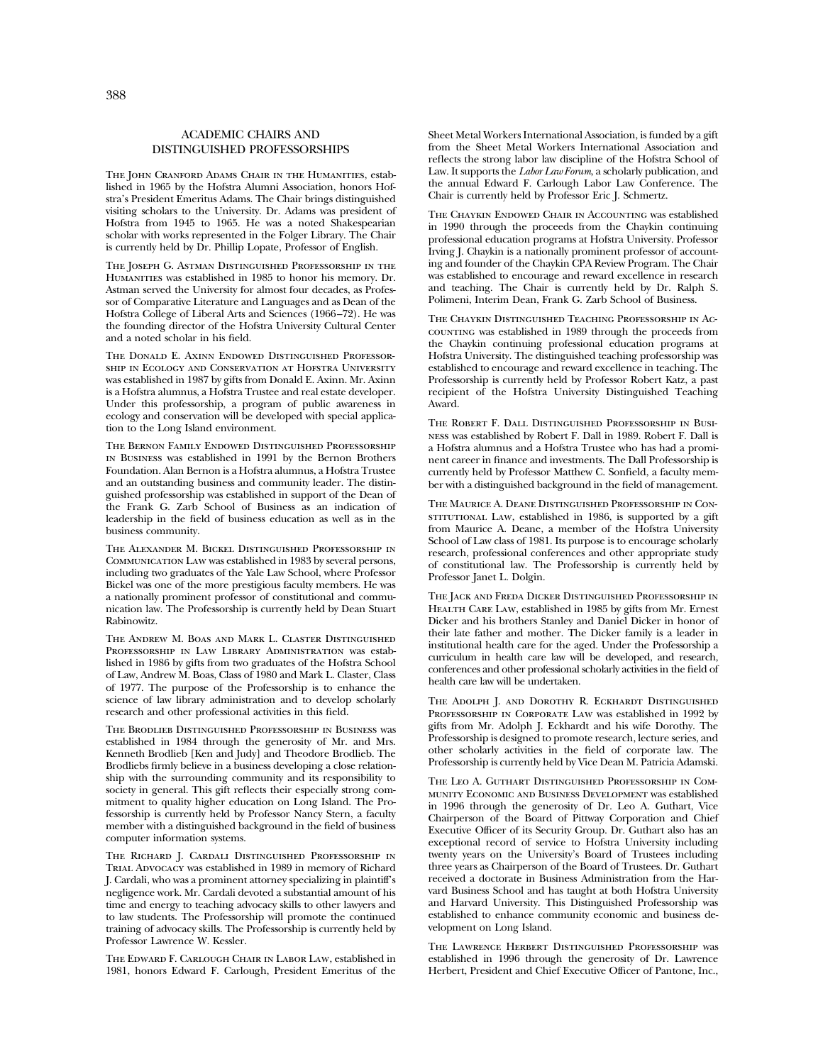#### ACADEMIC CHAIRS AND DISTINGUISHED PROFESSORSHIPS

THE JOHN CRANFORD ADAMS CHAIR IN THE HUMANITIES, established in 1965 by the Hofstra Alumni Association, honors Hofstra's President Emeritus Adams. The Chair brings distinguished visiting scholars to the University. Dr. Adams was president of Hofstra from 1945 to 1965. He was a noted Shakespearian scholar with works represented in the Folger Library. The Chair is currently held by Dr. Phillip Lopate, Professor of English.

The Joseph G. Astman Distinguished Professorship in the Humanities was established in 1985 to honor his memory. Dr. Astman served the University for almost four decades, as Professor of Comparative Literature and Languages and as Dean of the Hofstra College of Liberal Arts and Sciences (1966–72). He was the founding director of the Hofstra University Cultural Center and a noted scholar in his field.

The Donald E. Axinn Endowed Distinguished Professorship in Ecology and Conservation at Hofstra University was established in 1987 by gifts from Donald E. Axinn. Mr. Axinn is a Hofstra alumnus, a Hofstra Trustee and real estate developer. Under this professorship, a program of public awareness in ecology and conservation will be developed with special application to the Long Island environment.

The Bernon Family Endowed Distinguished Professorship in Business was established in 1991 by the Bernon Brothers Foundation. Alan Bernon is a Hofstra alumnus, a Hofstra Trustee and an outstanding business and community leader. The distinguished professorship was established in support of the Dean of the Frank G. Zarb School of Business as an indication of leadership in the field of business education as well as in the business community.

The Alexander M. Bickel Distinguished Professorship in Communication Law was established in 1983 by several persons, including two graduates of the Yale Law School, where Professor Bickel was one of the more prestigious faculty members. He was a nationally prominent professor of constitutional and communication law. The Professorship is currently held by Dean Stuart Rabinowitz.

The Andrew M. Boas and Mark L. Claster Distinguished Professorship in Law Library Administration was established in 1986 by gifts from two graduates of the Hofstra School of Law, Andrew M. Boas, Class of 1980 and Mark L. Claster, Class of 1977. The purpose of the Professorship is to enhance the science of law library administration and to develop scholarly research and other professional activities in this field.

The Brodlieb Distinguished Professorship in Business was established in 1984 through the generosity of Mr. and Mrs. Kenneth Brodlieb [Ken and Judy] and Theodore Brodlieb. The Brodliebs firmly believe in a business developing a close relationship with the surrounding community and its responsibility to society in general. This gift reflects their especially strong commitment to quality higher education on Long Island. The Professorship is currently held by Professor Nancy Stern, a faculty member with a distinguished background in the field of business computer information systems.

The Richard J. Cardali Distinguished Professorship in Trial Advocacy was established in 1989 in memory of Richard J. Cardali, who was a prominent attorney specializing in plaintiff's negligence work. Mr. Cardali devoted a substantial amount of his time and energy to teaching advocacy skills to other lawyers and to law students. The Professorship will promote the continued training of advocacy skills. The Professorship is currently held by Professor Lawrence W. Kessler.

The Edward F. Carlough Chair in Labor Law, established in 1981, honors Edward F. Carlough, President Emeritus of the

Sheet Metal Workers International Association, is funded by a gift from the Sheet Metal Workers International Association and reflects the strong labor law discipline of the Hofstra School of Law. It supports the *Labor Law Forum*, a scholarly publication, and the annual Edward F. Carlough Labor Law Conference. The Chair is currently held by Professor Eric J. Schmertz.

The Chaykin Endowed Chair in Accounting was established in 1990 through the proceeds from the Chaykin continuing professional education programs at Hofstra University. Professor Irving J. Chaykin is a nationally prominent professor of accounting and founder of the Chaykin CPA Review Program. The Chair was established to encourage and reward excellence in research and teaching. The Chair is currently held by Dr. Ralph S. Polimeni, Interim Dean, Frank G. Zarb School of Business.

The Chaykin Distinguished Teaching Professorship in Accounting was established in 1989 through the proceeds from the Chaykin continuing professional education programs at Hofstra University. The distinguished teaching professorship was established to encourage and reward excellence in teaching. The Professorship is currently held by Professor Robert Katz, a past recipient of the Hofstra University Distinguished Teaching Award.

The Robert F. Dall Distinguished Professorship in Business was established by Robert F. Dall in 1989. Robert F. Dall is a Hofstra alumnus and a Hofstra Trustee who has had a prominent career in finance and investments. The Dall Professorship is currently held by Professor Matthew C. Sonfield, a faculty member with a distinguished background in the field of management.

The Maurice A. Deane Distinguished Professorship in ConsTITUTIONAL LAW, established in 1986, is supported by a gift from Maurice A. Deane, a member of the Hofstra University School of Law class of 1981. Its purpose is to encourage scholarly research, professional conferences and other appropriate study of constitutional law. The Professorship is currently held by Professor Janet L. Dolgin.

The Jack and Freda Dicker Distinguished Professorship in Health Care Law, established in 1985 by gifts from Mr. Ernest Dicker and his brothers Stanley and Daniel Dicker in honor of their late father and mother. The Dicker family is a leader in institutional health care for the aged. Under the Professorship a curriculum in health care law will be developed, and research, conferences and other professional scholarly activities in the field of health care law will be undertaken.

The Adolph J. and Dorothy R. Eckhardt Distinguished Professorship in Corporate Law was established in 1992 by gifts from Mr. Adolph J. Eckhardt and his wife Dorothy. The Professorship is designed to promote research, lecture series, and other scholarly activities in the field of corporate law. The Professorship is currently held by Vice Dean M. Patricia Adamski.

The Leo A. Guthart Distinguished Professorship in Community Economic and Business Development was established in 1996 through the generosity of Dr. Leo A. Guthart, Vice Chairperson of the Board of Pittway Corporation and Chief Executive Officer of its Security Group. Dr. Guthart also has an exceptional record of service to Hofstra University including twenty years on the University's Board of Trustees including three years as Chairperson of the Board of Trustees. Dr. Guthart received a doctorate in Business Administration from the Harvard Business School and has taught at both Hofstra University and Harvard University. This Distinguished Professorship was established to enhance community economic and business development on Long Island.

The Lawrence Herbert Distinguished Professorship was established in 1996 through the generosity of Dr. Lawrence Herbert, President and Chief Executive Officer of Pantone, Inc.,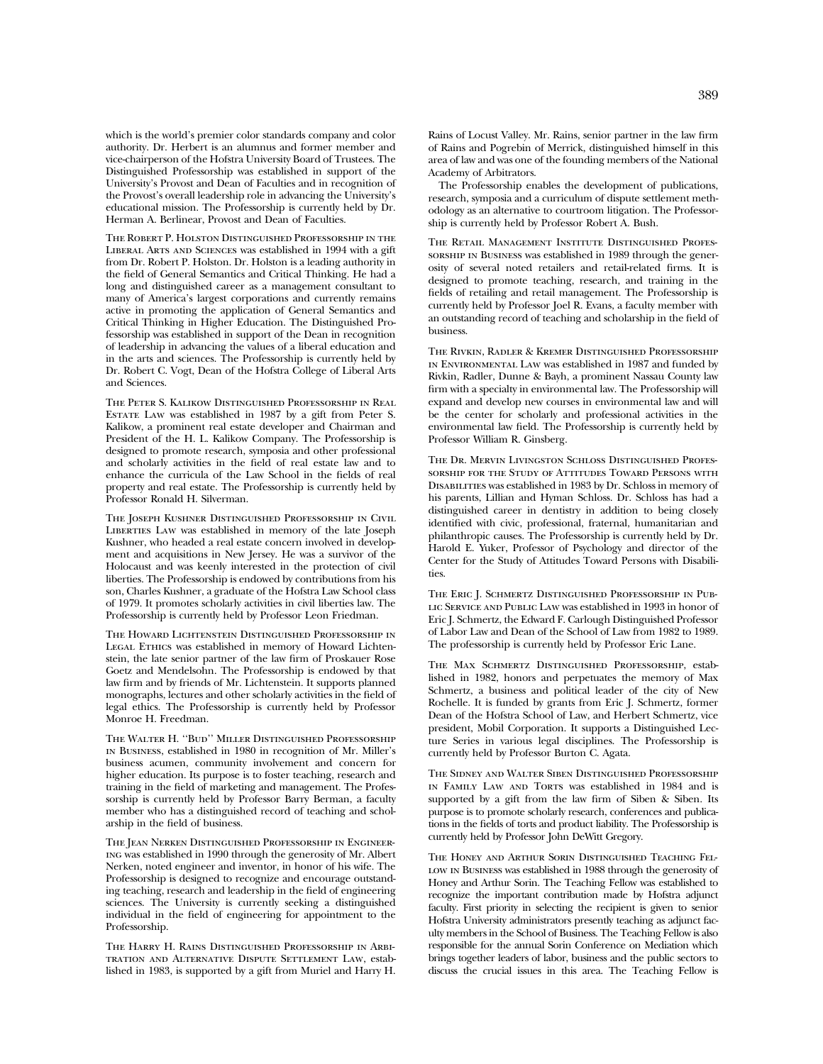which is the world's premier color standards company and color authority. Dr. Herbert is an alumnus and former member and vice-chairperson of the Hofstra University Board of Trustees. The Distinguished Professorship was established in support of the University's Provost and Dean of Faculties and in recognition of the Provost's overall leadership role in advancing the University's educational mission. The Professorship is currently held by Dr. Herman A. Berlinear, Provost and Dean of Faculties.

The Robert P. Holston Distinguished Professorship in the Liberal Arts and Sciences was established in 1994 with a gift from Dr. Robert P. Holston. Dr. Holston is a leading authority in the field of General Semantics and Critical Thinking. He had a long and distinguished career as a management consultant to many of America's largest corporations and currently remains active in promoting the application of General Semantics and Critical Thinking in Higher Education. The Distinguished Professorship was established in support of the Dean in recognition of leadership in advancing the values of a liberal education and in the arts and sciences. The Professorship is currently held by Dr. Robert C. Vogt, Dean of the Hofstra College of Liberal Arts and Sciences.

The Peter S. Kalikow Distinguished Professorship in Real Estate Law was established in 1987 by a gift from Peter S. Kalikow, a prominent real estate developer and Chairman and President of the H. L. Kalikow Company. The Professorship is designed to promote research, symposia and other professional and scholarly activities in the field of real estate law and to enhance the curricula of the Law School in the fields of real property and real estate. The Professorship is currently held by Professor Ronald H. Silverman.

THE JOSEPH KUSHNER DISTINGUISHED PROFESSORSHIP IN CIVIL LIBERTIES LAW was established in memory of the late Joseph Kushner, who headed a real estate concern involved in development and acquisitions in New Jersey. He was a survivor of the Holocaust and was keenly interested in the protection of civil liberties. The Professorship is endowed by contributions from his son, Charles Kushner, a graduate of the Hofstra Law School class of 1979. It promotes scholarly activities in civil liberties law. The Professorship is currently held by Professor Leon Friedman.

The Howard Lichtenstein Distinguished Professorship in LEGAL ETHICS was established in memory of Howard Lichtenstein, the late senior partner of the law firm of Proskauer Rose Goetz and Mendelsohn. The Professorship is endowed by that law firm and by friends of Mr. Lichtenstein. It supports planned monographs, lectures and other scholarly activities in the field of legal ethics. The Professorship is currently held by Professor Monroe H. Freedman.

The Walter H. ''Bud'' Miller Distinguished Professorship in Business, established in 1980 in recognition of Mr. Miller's business acumen, community involvement and concern for higher education. Its purpose is to foster teaching, research and training in the field of marketing and management. The Professorship is currently held by Professor Barry Berman, a faculty member who has a distinguished record of teaching and scholarship in the field of business.

The Jean Nerken Distinguished Professorship in Engineering was established in 1990 through the generosity of Mr. Albert Nerken, noted engineer and inventor, in honor of his wife. The Professorship is designed to recognize and encourage outstanding teaching, research and leadership in the field of engineering sciences. The University is currently seeking a distinguished individual in the field of engineering for appointment to the Professorship.

The Harry H. Rains Distinguished Professorship in Arbitration and Alternative Dispute Settlement Law, established in 1983, is supported by a gift from Muriel and Harry H. Rains of Locust Valley. Mr. Rains, senior partner in the law firm of Rains and Pogrebin of Merrick, distinguished himself in this area of law and was one of the founding members of the National Academy of Arbitrators.

The Professorship enables the development of publications, research, symposia and a curriculum of dispute settlement methodology as an alternative to courtroom litigation. The Professorship is currently held by Professor Robert A. Bush.

The Retail Management Institute Distinguished Professorship in Business was established in 1989 through the generosity of several noted retailers and retail-related firms. It is designed to promote teaching, research, and training in the fields of retailing and retail management. The Professorship is currently held by Professor Joel R. Evans, a faculty member with an outstanding record of teaching and scholarship in the field of business.

The Rivkin, Radler & Kremer Distinguished Professorship in Environmental Law was established in 1987 and funded by Rivkin, Radler, Dunne & Bayh, a prominent Nassau County law firm with a specialty in environmental law. The Professorship will expand and develop new courses in environmental law and will be the center for scholarly and professional activities in the environmental law field. The Professorship is currently held by Professor William R. Ginsberg.

The Dr. Mervin Livingston Schloss Distinguished Professorship for the Study of Attitudes Toward Persons with Disabilities was established in 1983 by Dr. Schloss in memory of his parents, Lillian and Hyman Schloss. Dr. Schloss has had a distinguished career in dentistry in addition to being closely identified with civic, professional, fraternal, humanitarian and philanthropic causes. The Professorship is currently held by Dr. Harold E. Yuker, Professor of Psychology and director of the Center for the Study of Attitudes Toward Persons with Disabilities.

The Eric J. Schmertz Distinguished Professorship in Public Service and Public Law was established in 1993 in honor of Eric J. Schmertz, the Edward F. Carlough Distinguished Professor of Labor Law and Dean of the School of Law from 1982 to 1989. The professorship is currently held by Professor Eric Lane.

The Max Schmertz Distinguished Professorship, established in 1982, honors and perpetuates the memory of Max Schmertz, a business and political leader of the city of New Rochelle. It is funded by grants from Eric J. Schmertz, former Dean of the Hofstra School of Law, and Herbert Schmertz, vice president, Mobil Corporation. It supports a Distinguished Lecture Series in various legal disciplines. The Professorship is currently held by Professor Burton C. Agata.

The Sidney and Walter Siben Distinguished Professorship IN FAMILY LAW AND TORTS was established in 1984 and is supported by a gift from the law firm of Siben & Siben. Its purpose is to promote scholarly research, conferences and publications in the fields of torts and product liability. The Professorship is currently held by Professor John DeWitt Gregory.

The Honey and Arthur Sorin Distinguished Teaching Fel-LOW IN BUSINESS was established in 1988 through the generosity of Honey and Arthur Sorin. The Teaching Fellow was established to recognize the important contribution made by Hofstra adjunct faculty. First priority in selecting the recipient is given to senior Hofstra University administrators presently teaching as adjunct faculty members in the School of Business. The Teaching Fellow is also responsible for the annual Sorin Conference on Mediation which brings together leaders of labor, business and the public sectors to discuss the crucial issues in this area. The Teaching Fellow is